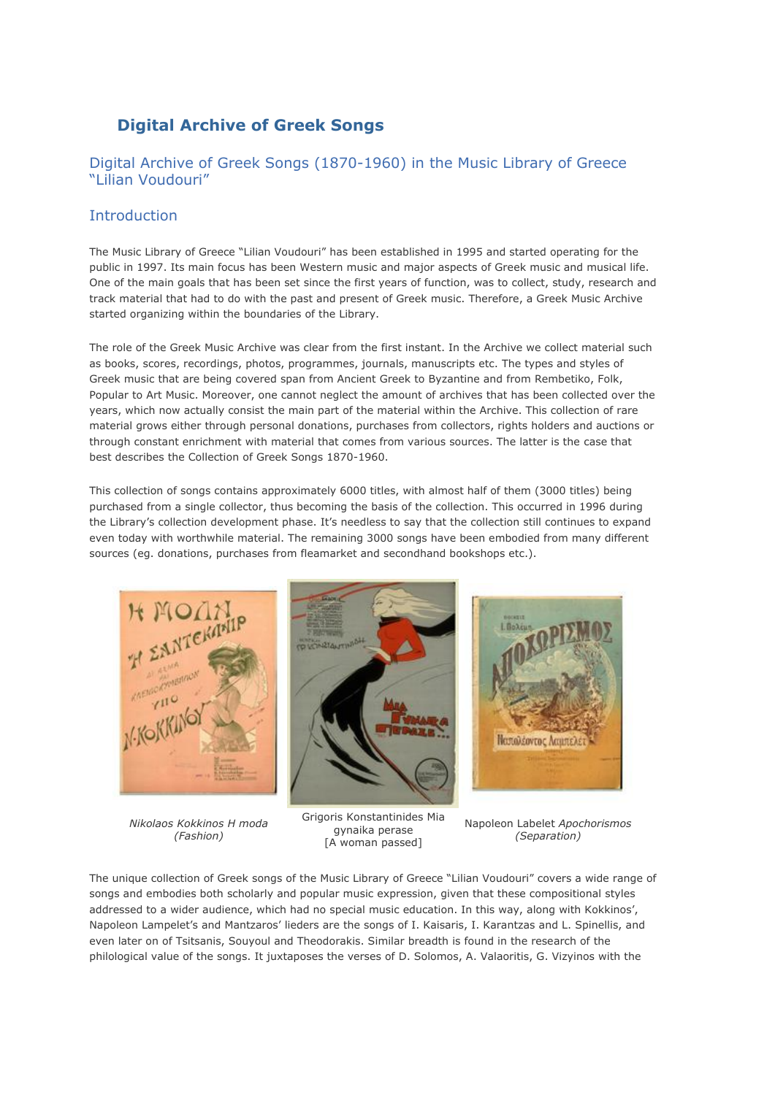# **Digital Archive of Greek Songs**

## Digital Archive of Greek Songs (1870-1960) in the Music Library of Greece "Lilian Voudouri"

## Introduction

The Music Library of Greece "Lilian Voudouri" has been established in 1995 and started operating for the public in 1997. Its main focus has been Western music and major aspects of Greek music and musical life. One of the main goals that has been set since the first years of function, was to collect, study, research and track material that had to do with the past and present of Greek music. Therefore, a Greek Music Archive started organizing within the boundaries of the Library.

The role of the Greek Music Archive was clear from the first instant. In the Archive we collect material such as books, scores, recordings, photos, programmes, journals, manuscripts etc. The types and styles of Greek music that are being covered span from Ancient Greek to Byzantine and from Rembetiko, Folk, Popular to Art Music. Moreover, one cannot neglect the amount of archives that has been collected over the years, which now actually consist the main part of the material within the Archive. This collection of rare material grows either through personal donations, purchases from collectors, rights holders and auctions or through constant enrichment with material that comes from various sources. The latter is the case that best describes the Collection of Greek Songs 1870-1960.

This collection of songs contains approximately 6000 titles, with almost half of them (3000 titles) being purchased from a single collector, thus becoming the basis of the collection. This occurred in 1996 during the Library's collection development phase. It's needless to say that the collection still continues to expand even today with worthwhile material. The remaining 3000 songs have been embodied from many different sources (eg. donations, purchases from fleamarket and secondhand bookshops etc.).



*Nikolaos Kokkinos H moda (Fashion)*





Napoleon Labelet *Apochorismos (Separation)*

The unique collection of Greek songs of the Music Library of Greece "Lilian Voudouri" covers a wide range of songs and embodies both scholarly and popular music expression, given that these compositional styles addressed to a wider audience, which had no special music education. In this way, along with Kokkinos', Napoleon Lampelet's and Mantzaros' lieders are the songs of I. Kaisaris, I. Karantzas and L. Spinellis, and even later on of Tsitsanis, Souyoul and Theodorakis. Similar breadth is found in the research of the philological value of the songs. It juxtaposes the verses of D. Solomos, A. Valaoritis, G. Vizyinos with the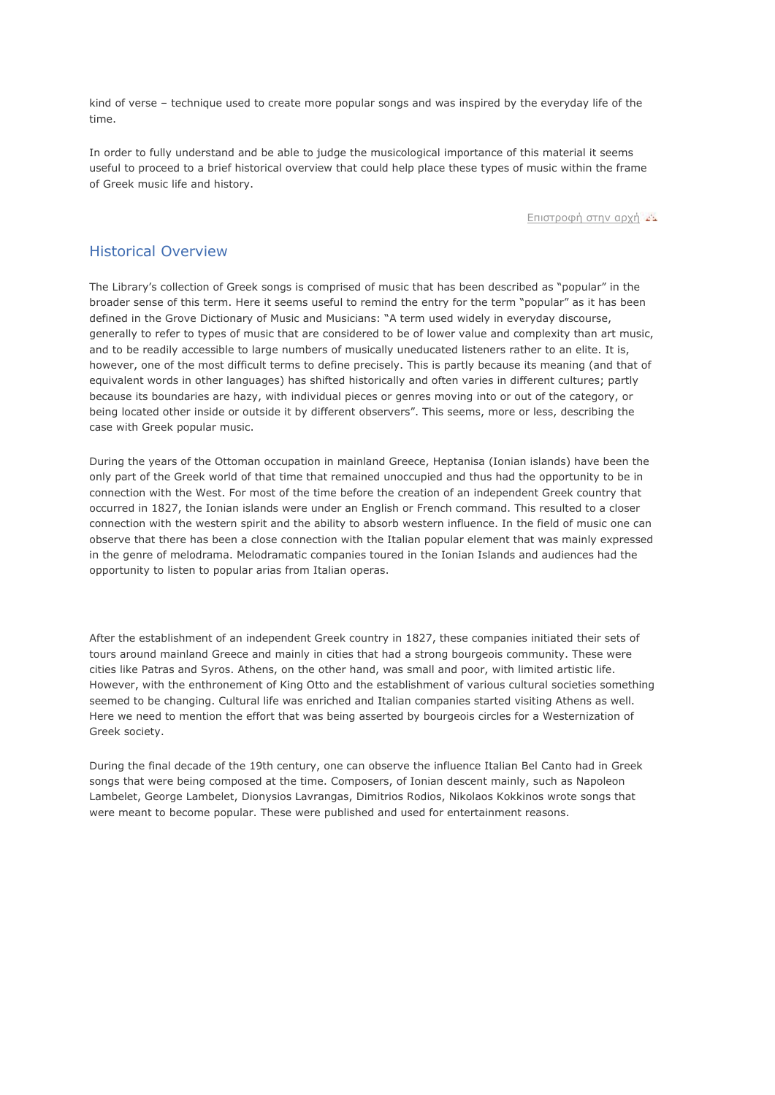kind of verse – technique used to create more popular songs and was inspired by the everyday life of the time.

In order to fully understand and be able to judge the musicological importance of this material it seems useful to proceed to a brief historical overview that could help place these types of music within the frame of Greek music life and history.

[Επιστροφή](http://old.mmb.org.gr/page/default.asp?id=5001&la=2) στην αρχή

#### Historical Overview

The Library's collection of Greek songs is comprised of music that has been described as "popular" in the broader sense of this term. Here it seems useful to remind the entry for the term "popular" as it has been defined in the Grove Dictionary of Music and Musicians: "A term used widely in everyday discourse, generally to refer to types of music that are considered to be of lower value and complexity than art music, and to be readily accessible to large numbers of musically uneducated listeners rather to an elite. It is, however, one of the most difficult terms to define precisely. This is partly because its meaning (and that of equivalent words in other languages) has shifted historically and often varies in different cultures; partly because its boundaries are hazy, with individual pieces or genres moving into or out of the category, or being located other inside or outside it by different observers". This seems, more or less, describing the case with Greek popular music.

During the years of the Ottoman occupation in mainland Greece, Heptanisa (Ionian islands) have been the only part of the Greek world of that time that remained unoccupied and thus had the opportunity to be in connection with the West. For most of the time before the creation of an independent Greek country that occurred in 1827, the Ionian islands were under an English or French command. This resulted to a closer connection with the western spirit and the ability to absorb western influence. In the field of music one can observe that there has been a close connection with the Italian popular element that was mainly expressed in the genre of melodrama. Melodramatic companies toured in the Ionian Islands and audiences had the opportunity to listen to popular arias from Italian operas.

After the establishment of an independent Greek country in 1827, these companies initiated their sets of tours around mainland Greece and mainly in cities that had a strong bourgeois community. These were cities like Patras and Syros. Athens, on the other hand, was small and poor, with limited artistic life. However, with the enthronement of King Otto and the establishment of various cultural societies something seemed to be changing. Cultural life was enriched and Italian companies started visiting Athens as well. Here we need to mention the effort that was being asserted by bourgeois circles for a Westernization of Greek society.

During the final decade of the 19th century, one can observe the influence Italian Bel Canto had in Greek songs that were being composed at the time. Composers, of Ionian descent mainly, such as Napoleon Lambelet, George Lambelet, Dionysios Lavrangas, Dimitrios Rodios, Nikolaos Kokkinos wrote songs that were meant to become popular. These were published and used for entertainment reasons.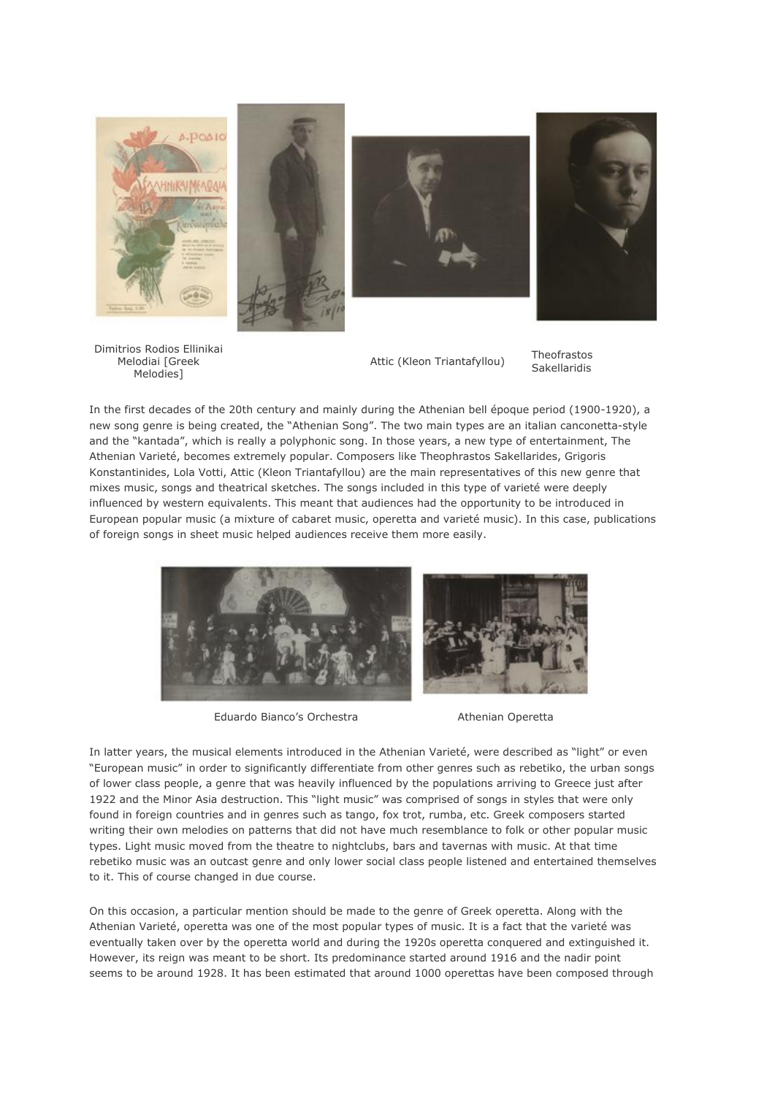



Attic (Kleon Triantafyllou) Theofrastos

Sakellaridis

In the first decades of the 20th century and mainly during the Athenian bell époque period (1900-1920), a new song genre is being created, the "Athenian Song". The two main types are an italian canconetta-style and the "kantada", which is really a polyphonic song. In those years, a new type of entertainment, The Athenian Varieté, becomes extremely popular. Composers like Theophrastos Sakellarides, Grigoris Konstantinides, Lola Votti, Attic (Kleon Triantafyllou) are the main representatives of this new genre that mixes music, songs and theatrical sketches. The songs included in this type of varieté were deeply influenced by western equivalents. This meant that audiences had the opportunity to be introduced in European popular music (a mixture of cabaret music, operetta and varieté music). In this case, publications of foreign songs in sheet music helped audiences receive them more easily.



Eduardo Bianco's Orchestra **Athenian Operetta** 

In latter years, the musical elements introduced in the Athenian Varieté, were described as "light" or even "European music" in order to significantly differentiate from other genres such as rebetiko, the urban songs of lower class people, a genre that was heavily influenced by the populations arriving to Greece just after 1922 and the Minor Asia destruction. This "light music" was comprised of songs in styles that were only found in foreign countries and in genres such as tango, fox trot, rumba, etc. Greek composers started writing their own melodies on patterns that did not have much resemblance to folk or other popular music types. Light music moved from the theatre to nightclubs, bars and tavernas with music. At that time rebetiko music was an outcast genre and only lower social class people listened and entertained themselves to it. This of course changed in due course.

On this occasion, a particular mention should be made to the genre of Greek operetta. Along with the Athenian Varieté, operetta was one of the most popular types of music. It is a fact that the varieté was eventually taken over by the operetta world and during the 1920s operetta conquered and extinguished it. However, its reign was meant to be short. Its predominance started around 1916 and the nadir point seems to be around 1928. It has been estimated that around 1000 operettas have been composed through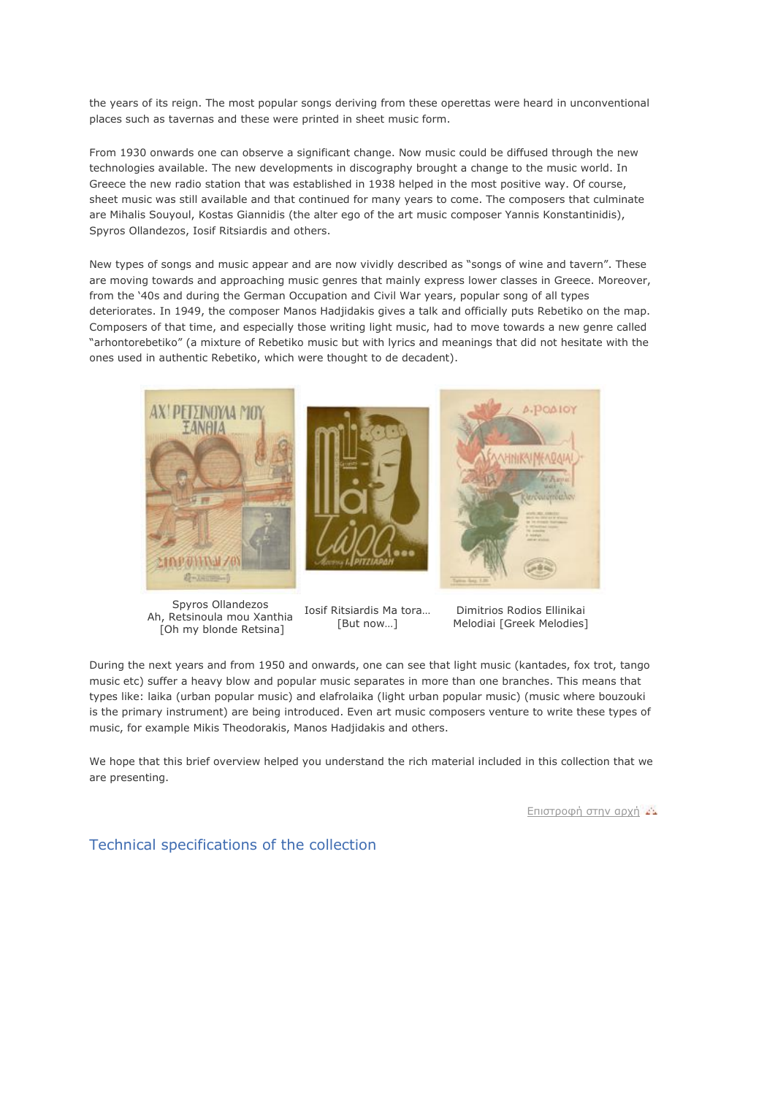the years of its reign. The most popular songs deriving from these operettas were heard in unconventional places such as tavernas and these were printed in sheet music form.

From 1930 onwards one can observe a significant change. Now music could be diffused through the new technologies available. The new developments in discography brought a change to the music world. In Greece the new radio station that was established in 1938 helped in the most positive way. Of course, sheet music was still available and that continued for many years to come. The composers that culminate are Mihalis Souyoul, Kostas Giannidis (the alter ego of the art music composer Yannis Konstantinidis), Spyros Ollandezos, Iosif Ritsiardis and others.

New types of songs and music appear and are now vividly described as "songs of wine and tavern". These are moving towards and approaching music genres that mainly express lower classes in Greece. Moreover, from the '40s and during the German Occupation and Civil War years, popular song of all types deteriorates. In 1949, the composer Manos Hadjidakis gives a talk and officially puts Rebetiko on the map. Composers of that time, and especially those writing light music, had to move towards a new genre called "arhontorebetiko" (a mixture of Rebetiko music but with lyrics and meanings that did not hesitate with the ones used in authentic Rebetiko, which were thought to de decadent).



Spyros Ollandezos Ah, Retsinoula mou Xanthia [Oh my blonde Retsina]





Iosif Ritsiardis Ma tora… [But now...]

Dimitrios Rodios Ellinikai Melodiai [Greek Melodies]

During the next years and from 1950 and onwards, one can see that light music (kantades, fox trot, tango music etc) suffer a heavy blow and popular music separates in more than one branches. This means that types like: laika (urban popular music) and elafrolaika (light urban popular music) (music where bouzouki is the primary instrument) are being introduced. Even art music composers venture to write these types of music, for example Mikis Theodorakis, Manos Hadjidakis and others.

We hope that this brief overview helped you understand the rich material included in this collection that we are presenting.

[Επιστροφή](http://old.mmb.org.gr/page/default.asp?id=5001&la=2) στην αρχή

Technical specifications of the collection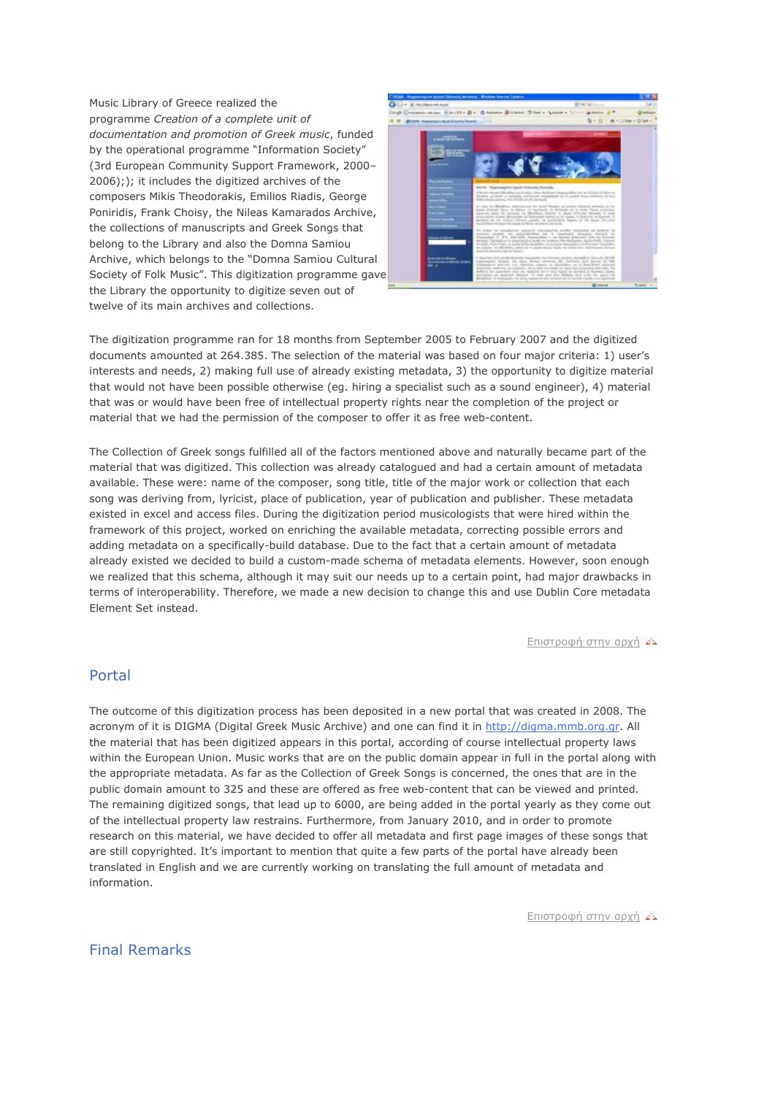Music Library of Greece realized the programme *Creation of a complete unit of documentation and promotion of Greek music*, funded by the operational programme "Information Society" (3rd European Community Support Framework, 2000– 2006);); it includes the digitized archives of the composers Mikis Theodorakis, Εmilios Riadis, George Poniridis, Frank Choisy, the Nileas Kamarados Archive, the collections of manuscripts and Greek Songs that belong to the Library and also the Domna Samiou Archive, which belongs to the "Domna Samiou Cultural Society of Folk Music". This digitization programme gave the Library the opportunity to digitize seven out of twelve of its main archives and collections.



The digitization programme ran for 18 months from September 2005 to February 2007 and the digitized documents amounted at 264.385. The selection of the material was based on four major criteria: 1) user's interests and needs, 2) making full use of already existing metadata, 3) the opportunity to digitize material that would not have been possible otherwise (eg. hiring a specialist such as a sound engineer), 4) material that was or would have been free of intellectual property rights near the completion of the project or material that we had the permission of the composer to offer it as free web-content.

The Collection of Greek songs fulfilled all of the factors mentioned above and naturally became part of the material that was digitized. This collection was already catalogued and had a certain amount of metadata available. These were: name of the composer, song title, title of the major work or collection that each song was deriving from, lyricist, place of publication, year of publication and publisher. These metadata existed in excel and access files. During the digitization period musicologists that were hired within the framework of this project, worked on enriching the available metadata, correcting possible errors and adding metadata on a specifically-build database. Due to the fact that a certain amount of metadata already existed we decided to build a custom-made schema of metadata elements. However, soon enough we realized that this schema, although it may suit our needs up to a certain point, had major drawbacks in terms of interoperability. Therefore, we made a new decision to change this and use Dublin Core metadata Element Set instead.

[Επιστροφή](http://old.mmb.org.gr/page/default.asp?id=5001&la=2) στην αρχή

#### Portal

The outcome of this digitization process has been deposited in a new portal that was created in 2008. The acronym of it is DIGMA (Digital Greek Music Archive) and one can find it in [http://digma.mmb.org.gr.](http://digma.mmb.org.gr/) All the material that has been digitized appears in this portal, according of course intellectual property laws within the European Union. Music works that are on the public domain appear in full in the portal along with the appropriate metadata. As far as the Collection of Greek Songs is concerned, the ones that are in the public domain amount to 325 and these are offered as free web-content that can be viewed and printed. The remaining digitized songs, that lead up to 6000, are being added in the portal yearly as they come out of the intellectual property law restrains. Furthermore, from January 2010, and in order to promote research on this material, we have decided to offer all metadata and first page images of these songs that are still copyrighted. It's important to mention that quite a few parts of the portal have already been translated in English and we are currently working on translating the full amount of metadata and information.

[Επιστροφή στην αρχή](http://old.mmb.org.gr/page/default.asp?id=5001&la=2)

### Final Remarks